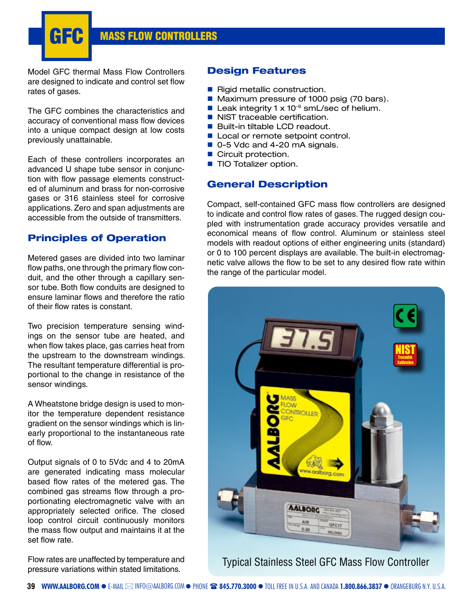**GEC** MASS FLOW CONTROLLERS

Model GFC thermal Mass Flow Controllers are designed to indicate and control set flow rates of gases.

The GFC combines the characteristics and accuracy of conventional mass flow devices into a unique compact design at low costs previously unattainable.

Each of these controllers incorporates an advanced U shape tube sensor in conjunction with flow passage elements constructed of aluminum and brass for non-corrosive gases or 316 stainless steel for corrosive applications. Zero and span adjustments are accessible from the outside of transmitters.

### **Principles of Operation**

Metered gases are divided into two laminar flow paths, one through the primary flow conduit, and the other through a capillary sensor tube. Both flow conduits are designed to ensure laminar flows and therefore the ratio of their flow rates is constant.

Two precision temperature sensing windings on the sensor tube are heated, and when flow takes place, gas carries heat from the upstream to the downstream windings. The resultant temperature differential is proportional to the change in resistance of the sensor windings.

A Wheatstone bridge design is used to monitor the temperature dependent resistance gradient on the sensor windings which is linearly proportional to the instantaneous rate of flow.

Output signals of 0 to 5Vdc and 4 to 20mA are generated indicating mass molecular based flow rates of the metered gas. The combined gas streams flow through a proportionating electromagnetic valve with an appropriately selected orifice. The closed loop control circuit continuously monitors the mass flow output and maintains it at the set flow rate.

Flow rates are unaffected by temperature and pressure variations within stated limitations.

## **Design Features**

- Rigid metallic construction.
- Maximum pressure of 1000 psig (70 bars).
- Leak integrity 1  $\times$  10<sup>-9</sup> smL/sec of helium.
- NIST traceable certification.
- Built-in tiltable LCD readout.
- Local or remote setpoint control.
- 0-5 Vdc and 4-20 mA signals.
- Circuit protection.
- **TIO Totalizer option.**

### **General Description**

Compact, self-contained GFC mass flow controllers are designed to indicate and control flow rates of gases. The rugged design coupled with instrumentation grade accuracy provides versatile and economical means of flow control. Aluminum or stainless steel models with readout options of either engineering units (standard) or 0 to 100 percent displays are available. The built-in electromagnetic valve allows the flow to be set to any desired flow rate within the range of the particular model.



Typical Stainless Steel GFC Mass Flow Controller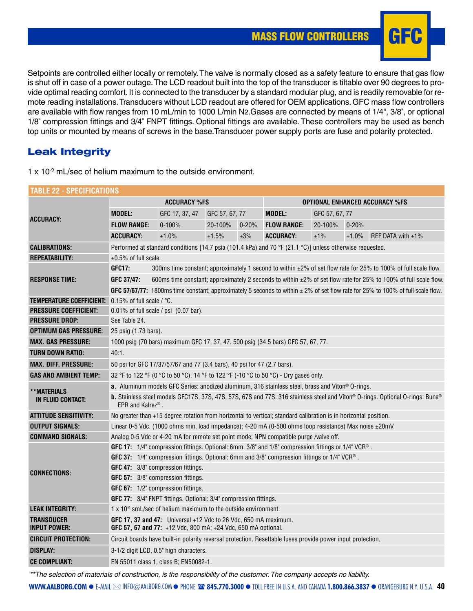# MASS FLOW CONTROLLERS **F**



Setpoints are controlled either locally or remotely. The valve is normally closed as a safety feature to ensure that gas flow is shut off in case of a power outage. The LCD readout built into the top of the transducer is tiltable over 90 degrees to provide optimal reading comfort. It is connected to the transducer by a standard modular plug, and is readily removable for remote reading installations. Transducers without LCD readout are offered for OEM applications. GFC mass flow controllers are available with flow ranges from 10 mL/min to 1000 L/min N2.Gases are connected by means of 1/4", 3/8", or optional 1/8" compression fittings and 3/4" FNPT fittings. Optional fittings are available. These controllers may be used as bench top units or mounted by means of screws in the base.Transducer power supply ports are fuse and polarity protected.

## **Leak Integrity**

 $1 \times 10^{-9}$  mL/sec of helium maximum to the outside environment.

| TABLE 22 - SPECIFICATIONS                |                                                                                                                                                                       |                                                                                                                                      |                                                                                                          |                                       |                                                                                                             |                |           |                      |  |  |
|------------------------------------------|-----------------------------------------------------------------------------------------------------------------------------------------------------------------------|--------------------------------------------------------------------------------------------------------------------------------------|----------------------------------------------------------------------------------------------------------|---------------------------------------|-------------------------------------------------------------------------------------------------------------|----------------|-----------|----------------------|--|--|
|                                          |                                                                                                                                                                       | <b>ACCURACY %FS</b>                                                                                                                  |                                                                                                          | <b>OPTIONAL ENHANCED ACCURACY %FS</b> |                                                                                                             |                |           |                      |  |  |
| ACCURACY:                                | <b>MODEL:</b>                                                                                                                                                         | GFC 17, 37, 47                                                                                                                       | GFC 57, 67, 77                                                                                           |                                       | <b>MODEL:</b>                                                                                               | GFC 57, 67, 77 |           |                      |  |  |
|                                          | <b>FLOW RANGE:</b>                                                                                                                                                    | $0 - 100%$                                                                                                                           | 20-100%                                                                                                  | $0 - 20%$                             | <b>FLOW RANGE:</b>                                                                                          | 20-100%        | $0 - 20%$ |                      |  |  |
|                                          | <b>ACCURACY:</b>                                                                                                                                                      | ±1.0%                                                                                                                                | ±1.5%                                                                                                    | ±3%                                   | <b>ACCURACY:</b>                                                                                            | ±1%            | ±1.0%     | REF DATA with $±1\%$ |  |  |
| <b>CALIBRATIONS:</b>                     |                                                                                                                                                                       |                                                                                                                                      | Performed at standard conditions [14.7 psia (101.4 kPa) and 70 °F (21.1 °C)] unless otherwise requested. |                                       |                                                                                                             |                |           |                      |  |  |
| <b>REPEATABILITY:</b>                    | $±0.5\%$ of full scale.                                                                                                                                               |                                                                                                                                      |                                                                                                          |                                       |                                                                                                             |                |           |                      |  |  |
|                                          | GFC17:<br>300ms time constant; approximately 1 second to within ±2% of set flow rate for 25% to 100% of full scale flow.                                              |                                                                                                                                      |                                                                                                          |                                       |                                                                                                             |                |           |                      |  |  |
| <b>RESPONSE TIME:</b>                    | 600ms time constant; approximately 2 seconds to within ±2% of set flow rate for 25% to 100% of full scale flow.<br>GFC 37/47:                                         |                                                                                                                                      |                                                                                                          |                                       |                                                                                                             |                |           |                      |  |  |
|                                          |                                                                                                                                                                       | GFC 57/67/77: 1800ms time constant; approximately 5 seconds to within $\pm 2\%$ of set flow rate for 25% to 100% of full scale flow. |                                                                                                          |                                       |                                                                                                             |                |           |                      |  |  |
| <b>TEMPERATURE COEFFICIENT:</b>          | $\mid$ 0.15% of full scale / °C.                                                                                                                                      |                                                                                                                                      |                                                                                                          |                                       |                                                                                                             |                |           |                      |  |  |
| <b>PRESSURE COEFFICIENT:</b>             | 0.01% of full scale / psi (0.07 bar).                                                                                                                                 |                                                                                                                                      |                                                                                                          |                                       |                                                                                                             |                |           |                      |  |  |
| <b>PRESSURE DROP:</b>                    | See Table 24.                                                                                                                                                         |                                                                                                                                      |                                                                                                          |                                       |                                                                                                             |                |           |                      |  |  |
| <b>OPTIMUM GAS PRESSURE:</b>             | 25 psig (1.73 bars).                                                                                                                                                  |                                                                                                                                      |                                                                                                          |                                       |                                                                                                             |                |           |                      |  |  |
| <b>MAX. GAS PRESSURE:</b>                |                                                                                                                                                                       |                                                                                                                                      |                                                                                                          |                                       | 1000 psig (70 bars) maximum GFC 17, 37, 47, 500 psig (34.5 bars) GFC 57, 67, 77.                            |                |           |                      |  |  |
| <b>TURN DOWN RATIO:</b>                  | 40:1.                                                                                                                                                                 |                                                                                                                                      |                                                                                                          |                                       |                                                                                                             |                |           |                      |  |  |
| <b>MAX. DIFF. PRESSURE:</b>              | 50 psi for GFC 17/37/57/67 and 77 (3.4 bars), 40 psi for 47 (2.7 bars).                                                                                               |                                                                                                                                      |                                                                                                          |                                       |                                                                                                             |                |           |                      |  |  |
| <b>GAS AND AMBIENT TEMP:</b>             | 32 °F to 122 °F (0 °C to 50 °C). 14 °F to 122 °F (-10 °C to 50 °C) - Dry gases only.                                                                                  |                                                                                                                                      |                                                                                                          |                                       |                                                                                                             |                |           |                      |  |  |
| **MATERIALS                              | <b>a.</b> Aluminum models GFC Series: anodized aluminum, 316 stainless steel, brass and Viton® O-rings.                                                               |                                                                                                                                      |                                                                                                          |                                       |                                                                                                             |                |           |                      |  |  |
| IN FLUID CONTACT:                        | <b>b.</b> Stainless steel models GFC17S, 37S, 47S, 57S, 67S and 77S: 316 stainless steel and Viton® O-rings. Optional O-rings: Buna®<br>EPR and Kalrez <sup>®</sup> . |                                                                                                                                      |                                                                                                          |                                       |                                                                                                             |                |           |                      |  |  |
| <b>ATTITUDE SENSITIVITY:</b>             | No greater than +15 degree rotation from horizontal to vertical; standard calibration is in horizontal position.                                                      |                                                                                                                                      |                                                                                                          |                                       |                                                                                                             |                |           |                      |  |  |
| <b>OUTPUT SIGNALS:</b>                   |                                                                                                                                                                       | Linear 0-5 Vdc. (1000 ohms min. load impedance); 4-20 mA (0-500 ohms loop resistance) Max noise ±20mV.                               |                                                                                                          |                                       |                                                                                                             |                |           |                      |  |  |
| <b>COMMAND SIGNALS:</b>                  | Analog 0-5 Vdc or 4-20 mA for remote set point mode; NPN compatible purge /valve off.                                                                                 |                                                                                                                                      |                                                                                                          |                                       |                                                                                                             |                |           |                      |  |  |
|                                          | GFC 17: 1/4" compression fittings. Optional: 6mm, 3/8" and 1/8" compression fittings or 1/4" VCR®.                                                                    |                                                                                                                                      |                                                                                                          |                                       |                                                                                                             |                |           |                      |  |  |
|                                          | GFC 37: 1/4" compression fittings. Optional: 6mm and 3/8" compression fittings or 1/4" VCR®.                                                                          |                                                                                                                                      |                                                                                                          |                                       |                                                                                                             |                |           |                      |  |  |
| <b>CONNECTIONS:</b>                      | <b>GFC 47:</b> 3/8" compression fittings.                                                                                                                             |                                                                                                                                      |                                                                                                          |                                       |                                                                                                             |                |           |                      |  |  |
|                                          | GFC 57: 3/8" compression fittings.                                                                                                                                    |                                                                                                                                      |                                                                                                          |                                       |                                                                                                             |                |           |                      |  |  |
|                                          | GFC 67: 1/2" compression fittings.                                                                                                                                    |                                                                                                                                      |                                                                                                          |                                       |                                                                                                             |                |           |                      |  |  |
|                                          | <b>GFC 77:</b> 3/4" FNPT fittings. Optional: 3/4" compression fittings.                                                                                               |                                                                                                                                      |                                                                                                          |                                       |                                                                                                             |                |           |                      |  |  |
| <b>LEAK INTEGRITY:</b>                   |                                                                                                                                                                       | $1 \times 10^{-9}$ smL/sec of helium maximum to the outside environment.                                                             |                                                                                                          |                                       |                                                                                                             |                |           |                      |  |  |
| <b>TRANSDUCER</b><br><b>INPUT POWER:</b> |                                                                                                                                                                       | GFC 17, 37 and 47: Universal +12 Vdc to 26 Vdc, 650 mA maximum.<br>GFC 57, 67 and 77: +12 Vdc, 800 mA; +24 Vdc, 650 mA optional.     |                                                                                                          |                                       |                                                                                                             |                |           |                      |  |  |
| <b>CIRCUIT PROTECTION:</b>               |                                                                                                                                                                       |                                                                                                                                      |                                                                                                          |                                       | Circuit boards have built-in polarity reversal protection. Resettable fuses provide power input protection. |                |           |                      |  |  |
| <b>DISPLAY:</b>                          | 3-1/2 digit LCD, 0.5" high characters.                                                                                                                                |                                                                                                                                      |                                                                                                          |                                       |                                                                                                             |                |           |                      |  |  |
| <b>CE COMPLIANT:</b>                     | EN 55011 class 1, class B; EN50082-1.                                                                                                                                 |                                                                                                                                      |                                                                                                          |                                       |                                                                                                             |                |           |                      |  |  |

\*\*The selection of materials of construction, is the responsibility of the customer. The company accepts no liability.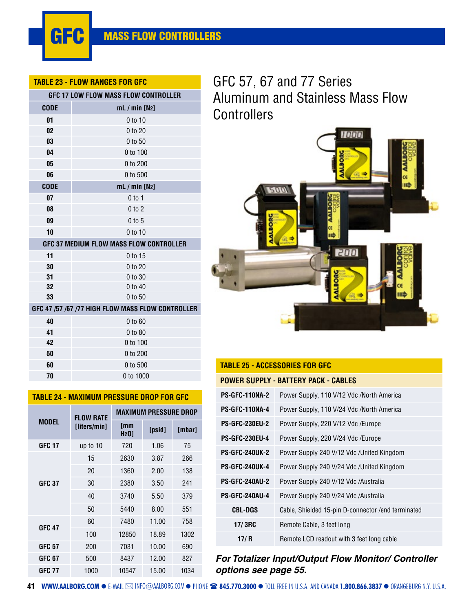

#### **TABLE 23 - FLOW RANGES FOR GFC**

|             | <b>GFC 17 LOW FLOW MASS FLOW CONTROLLER</b>       |
|-------------|---------------------------------------------------|
| <b>CODE</b> | $mL / min$ [N <sub>2</sub> ]                      |
| 01          | 0 to 10                                           |
| 02          | 0 to 20                                           |
| 03          | 0 to 50                                           |
| 04          | 0 to 100                                          |
| 05          | 0 to 200                                          |
| 06          | 0 to 500                                          |
| <b>CODE</b> | $mL / min$ [N <sub>2</sub> ]                      |
| 07          | $0$ to 1                                          |
| 08          | $0$ to $2$                                        |
| 09          | $0$ to $5$                                        |
| 10          | $0$ to 10                                         |
|             | GFC 37 MEDIUM FLOW MASS FLOW CONTROLLER           |
| 11          | 0 to 15                                           |
| 30          | 0 to 20                                           |
| 31          | 0 to 30                                           |
| 32          | 0 to 40                                           |
| 33          | 0 to 50                                           |
|             | GFC 47 /57 /67 /77 HIGH FLOW MASS FLOW CONTROLLER |
| 40          | 0 to 60                                           |
| 41          | 0 to 80                                           |
| 42          | 0 to 100                                          |
| 50          | 0 to 200                                          |
| 60          | 0 to 500                                          |
| 70          | 0 to 1000                                         |

| <u> IADLL 43 - MAAIMUM FRLOODRL DRUF I UR UI G</u> |                  |                                 |        |        |  |  |  |  |  |
|----------------------------------------------------|------------------|---------------------------------|--------|--------|--|--|--|--|--|
|                                                    | <b>FLOW RATE</b> | <b>MAXIMUM PRESSURE DROP</b>    |        |        |  |  |  |  |  |
| <b>MODEL</b>                                       | [liters/min]     | <b>Imm</b><br>H <sub>2</sub> 0] | [psid] | [mbar] |  |  |  |  |  |
| <b>GFC 17</b>                                      | up to 10         | 720                             | 1.06   | 75     |  |  |  |  |  |
|                                                    | 15               | 2630                            | 3.87   | 266    |  |  |  |  |  |
|                                                    | 20               | 1360                            | 2.00   | 138    |  |  |  |  |  |
| <b>GFC 37</b>                                      | 30               | 2380                            | 3.50   | 241    |  |  |  |  |  |
|                                                    | 40               | 3740                            | 5.50   | 379    |  |  |  |  |  |
|                                                    | 50               | 5440                            | 8.00   | 551    |  |  |  |  |  |
| <b>GFC 47</b>                                      | 60               | 7480                            | 11.00  | 758    |  |  |  |  |  |
|                                                    | 100              | 12850                           | 18.89  | 1302   |  |  |  |  |  |
| <b>GFC 57</b>                                      | 200              | 7031                            | 10.00  | 690    |  |  |  |  |  |
| GFC 67                                             | 500              | 8437                            | 12.00  | 827    |  |  |  |  |  |
| <b>GFC 77</b>                                      | 1000             | 10547                           | 15.00  | 1034   |  |  |  |  |  |

**TABLE 24 - MAXIMUM PRESSURE DROP FOR** 

# GFC 57, 67 and 77 Series Aluminum and Stainless Mass Flow **Controllers**



# **TABLE 25 - ACCESSORIES FOR GFC POWER SUPPLY - BATTERY PACK - CABLES PS-GFC-110NA-2** Power Supply, 110 V/12 Vdc /North America **PS-GFC-110NA-4** Power Supply, 110 V/24 Vdc /North America **PS-GFC-230EU-2** Power Supply, 220 V/12 Vdc /Europe **PS-GFC-230EU-4** Power Supply, 220 V/24 Vdc /Europe **PS-GFC-240UK-2** Power Supply 240 V/12 Vdc /United Kingdom **PS-GFC-240UK-4** Power Supply 240 V/24 Vdc /United Kingdom **PS-GFC-240AU-2** Power Supply 240 V/12 Vdc /Australia **PS-GFC-240AU-4** Power Supply 240 V/24 Vdc /Australia **CBL-DGS** Cable, Shielded 15-pin D-connector /end terminated **17/ 3RC** Remote Cable, 3 feet long **17/ R** Remote LCD readout with 3 feet long cable

## **For Totalizer Input/Output Flow Monitor/ Controller options see page 55.**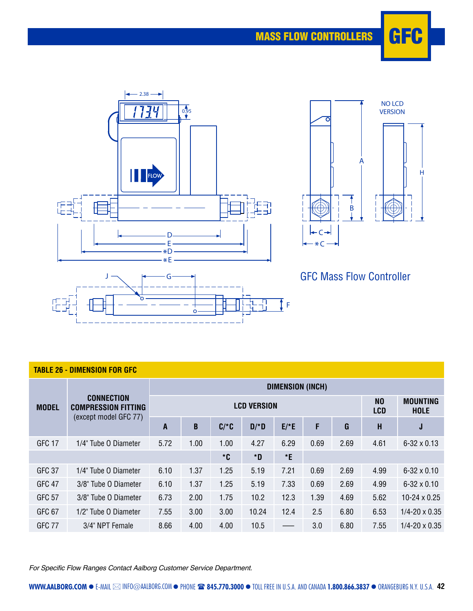





# GFC Mass Flow Controller

| <b>TABLE 26 - DIMENSION FOR GFC</b> |                                                                          |                         |      |                |        |        |      |      |      |                                |  |
|-------------------------------------|--------------------------------------------------------------------------|-------------------------|------|----------------|--------|--------|------|------|------|--------------------------------|--|
| <b>MODEL</b>                        |                                                                          | <b>DIMENSION (INCH)</b> |      |                |        |        |      |      |      |                                |  |
|                                     | <b>CONNECTION</b><br><b>COMPRESSION FITTING</b><br>(except model GFC 77) | <b>LCD VERSION</b>      |      |                |        |        |      |      |      | <b>MOUNTING</b><br><b>HOLE</b> |  |
|                                     |                                                                          | A                       | B    | $C/*C$         | $D/*D$ | $E/*E$ | F    | G    | H    | J                              |  |
| GFC 17                              | 1/4" Tube O Diameter                                                     | 5.72                    | 1.00 | 1.00           | 4.27   | 6.29   | 0.69 | 2.69 | 4.61 | $6 - 32 \times 0.13$           |  |
|                                     |                                                                          |                         |      | ${}^{\star}$ C | *D     | *E     |      |      |      |                                |  |
| <b>GFC 37</b>                       | 1/4" Tube O Diameter                                                     | 6.10                    | 1.37 | 1.25           | 5.19   | 7.21   | 0.69 | 2.69 | 4.99 | $6 - 32 \times 0.10$           |  |
| GFC 47                              | 3/8" Tube O Diameter                                                     | 6.10                    | 1.37 | 1.25           | 5.19   | 7.33   | 0.69 | 2.69 | 4.99 | $6 - 32 \times 0.10$           |  |
| <b>GFC 57</b>                       | 3/8" Tube O Diameter                                                     | 6.73                    | 2.00 | 1.75           | 10.2   | 12.3   | 1.39 | 4.69 | 5.62 | $10-24 \times 0.25$            |  |
| GFC 67                              | 1/2" Tube O Diameter                                                     | 7.55                    | 3.00 | 3.00           | 10.24  | 12.4   | 2.5  | 6.80 | 6.53 | $1/4 - 20 \times 0.35$         |  |
| <b>GFC 77</b>                       | 3/4" NPT Female                                                          | 8.66                    | 4.00 | 4.00           | 10.5   |        | 3.0  | 6.80 | 7.55 | $1/4 - 20 \times 0.35$         |  |

For Specific Flow Ranges Contact Aalborg Customer Service Department.